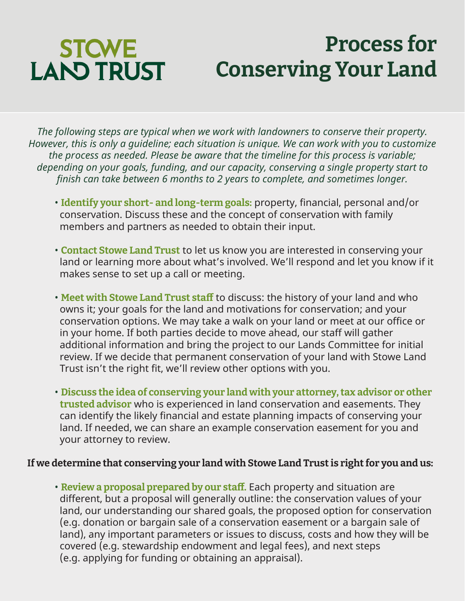## **STCWE LAND TRUST**

## **Process for Conserving Your Land**

*The following steps are typical when we work with landowners to conserve their property. However, this is only a guideline; each situation is unique. We can work with you to customize the process as needed. Please be aware that the timeline for this process is variable; depending on your goals, funding, and our capacity, conserving a single property start to finish can take between 6 months to 2 years to complete, and sometimes longer.* 

- **Identify your short- and long-term goals:** property, financial, personal and/or conservation. Discuss these and the concept of conservation with family members and partners as needed to obtain their input.
- **Contact Stowe Land Trust** to let us know you are interested in conserving your land or learning more about what's involved. We'll respond and let you know if it makes sense to set up a call or meeting.
- **Meet with Stowe Land Trust staff** to discuss: the history of your land and who owns it; your goals for the land and motivations for conservation; and your conservation options. We may take a walk on your land or meet at our office or in your home. If both parties decide to move ahead, our staff will gather additional information and bring the project to our Lands Committee for initial review. If we decide that permanent conservation of your land with Stowe Land Trust isn't the right fit, we'll review other options with you.
- **Discuss the idea of conserving your land with your attorney, tax advisor or other trusted advisor** who is experienced in land conservation and easements. They can identify the likely financial and estate planning impacts of conserving your land. If needed, we can share an example conservation easement for you and your attorney to review.

## **If we determine that conserving your land with Stowe Land Trust is right for you and us:**

• **Review a proposal prepared by our staff.** Each property and situation are different, but a proposal will generally outline: the conservation values of your land, our understanding our shared goals, the proposed option for conservation (e.g. donation or bargain sale of a conservation easement or a bargain sale of land), any important parameters or issues to discuss, costs and how they will be covered (e.g. stewardship endowment and legal fees), and next steps (e.g. applying for funding or obtaining an appraisal).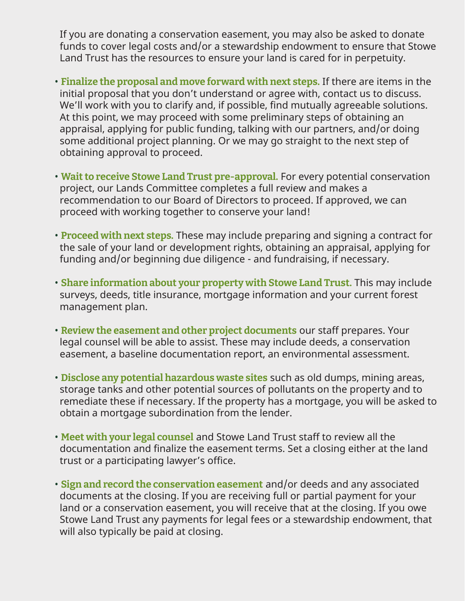If you are donating a conservation easement, you may also be asked to donate funds to cover legal costs and/or a stewardship endowment to ensure that Stowe Land Trust has the resources to ensure your land is cared for in perpetuity.

- **Finalize the proposal and move forward with next steps.** If there are items in the initial proposal that you don't understand or agree with, contact us to discuss. We'll work with you to clarify and, if possible, find mutually agreeable solutions. At this point, we may proceed with some preliminary steps of obtaining an appraisal, applying for public funding, talking with our partners, and/or doing some additional project planning. Or we may go straight to the next step of obtaining approval to proceed.
- **Wait to receive Stowe Land Trust pre-approval.** For every potential conservation project, our Lands Committee completes a full review and makes a recommendation to our Board of Directors to proceed. If approved, we can proceed with working together to conserve your land!
- **Proceed with next steps.** These may include preparing and signing a contract for the sale of your land or development rights, obtaining an appraisal, applying for funding and/or beginning due diligence - and fundraising, if necessary.
- **Share information about your property with Stowe Land Trust.** This may include surveys, deeds, title insurance, mortgage information and your current forest management plan.
- **Review the easement and other project documents** our staff prepares. Your legal counsel will be able to assist. These may include deeds, a conservation easement, a baseline documentation report, an environmental assessment.
- **Disclose any potential hazardous waste sites** such as old dumps, mining areas, storage tanks and other potential sources of pollutants on the property and to remediate these if necessary. If the property has a mortgage, you will be asked to obtain a mortgage subordination from the lender.
- **Meet with your legal counsel** and Stowe Land Trust staff to review all the documentation and finalize the easement terms. Set a closing either at the land trust or a participating lawyer's office.
- **Sign and record the conservation easement** and/or deeds and any associated documents at the closing. If you are receiving full or partial payment for your land or a conservation easement, you will receive that at the closing. If you owe Stowe Land Trust any payments for legal fees or a stewardship endowment, that will also typically be paid at closing.